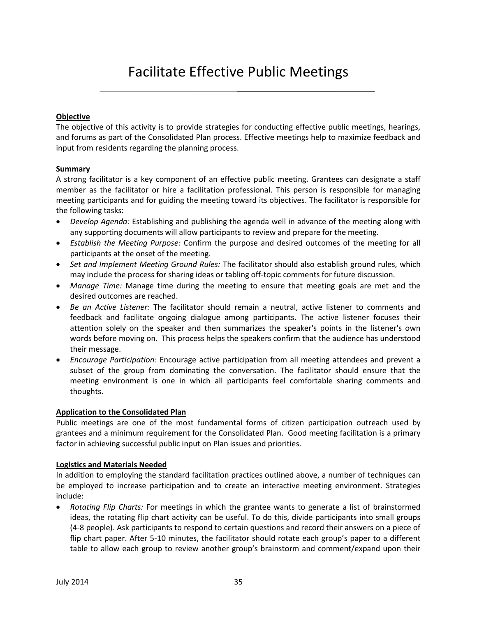# Facilitate Effective Public Meetings

### **Objective**

The objective of this activity is to provide strategies for conducting effective public meetings, hearings, and forums as part of the Consolidated Plan process. Effective meetings help to maximize feedback and input from residents regarding the planning process.

#### **Summary**

A strong facilitator is a key component of an effective public meeting. Grantees can designate a staff member as the facilitator or hire a facilitation professional. This person is responsible for managing meeting participants and for guiding the meeting toward its objectives. The facilitator is responsible for the following tasks:

- *Develop Agenda:* Establishing and publishing the agenda well in advance of the meeting along with any supporting documents will allow participants to review and prepare for the meeting.
- *Establish the Meeting Purpose:* Confirm the purpose and desired outcomes of the meeting for all participants at the onset of the meeting.
- *Set and Implement Meeting Ground Rules:* The facilitator should also establish ground rules, which may include the process for sharing ideas or tabling off-topic comments for future discussion.
- *Manage Time:* Manage time during the meeting to ensure that meeting goals are met and the desired outcomes are reached.
- *Be an Active Listener:* The facilitator should remain a neutral, active listener to comments and feedback and facilitate ongoing dialogue among participants. The active listener focuses their attention solely on the speaker and then summarizes the speaker's points in the listener's own words before moving on. This process helps the speakers confirm that the audience has understood their message.
- *Encourage Participation:* Encourage active participation from all meeting attendees and prevent a subset of the group from dominating the conversation. The facilitator should ensure that the meeting environment is one in which all participants feel comfortable sharing comments and thoughts.

## **Application to the Consolidated Plan**

Public meetings are one of the most fundamental forms of citizen participation outreach used by grantees and a minimum requirement for the Consolidated Plan. Good meeting facilitation is a primary factor in achieving successful public input on Plan issues and priorities.

## **Logistics and Materials Needed**

In addition to employing the standard facilitation practices outlined above, a number of techniques can be employed to increase participation and to create an interactive meeting environment. Strategies include:

 *Rotating Flip Charts:* For meetings in which the grantee wants to generate a list of brainstormed ideas, the rotating flip chart activity can be useful. To do this, divide participants into small groups (4-8 people). Ask participants to respond to certain questions and record their answers on a piece of flip chart paper. After 5-10 minutes, the facilitator should rotate each group's paper to a different table to allow each group to review another group's brainstorm and comment/expand upon their